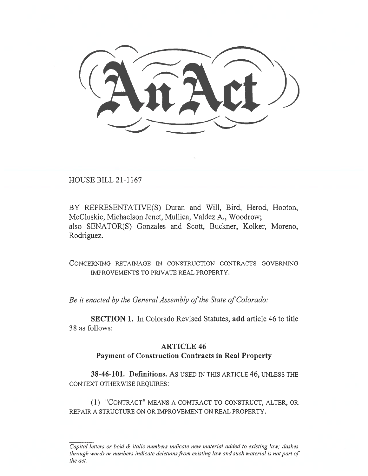HOUSE BILL 21-1167

BY REPRESENTATIVE(S) Duran and Will, Bird, Herod, Hooton, McCluskie, Michaelson Jenet, Mullica, Valdez A., Woodrow; also SENATOR(S) Gonzales and Scott, Buckner, Kolker, Moreno, Rodriguez.

CONCERNING RETAINAGE IN CONSTRUCTION CONTRACTS GOVERNING IMPROVEMENTS TO PRIVATE REAL PROPERTY.

Be it enacted by the General Assembly of the State of Colorado:

SECTION 1. In Colorado Revised Statutes, add article 46 to title 38 as follows:

## ARTICLE 46

## Payment of Construction Contracts in Real Property

38-46-101. Definitions. AS USED IN THIS ARTICLE 46, UNLESS THE CONTEXT OTHERWISE REQUIRES:

(1) "CONTRACT" MEANS A CONTRACT TO CONSTRUCT, ALTER, OR REPAIR A STRUCTURE ON OR IMPROVEMENT ON REAL PROPERTY.

Capital letters or bold & italic numbers indicate new material added to existing law; dashes through words or numbers indicate deletions from existing law and such material is not part of the act.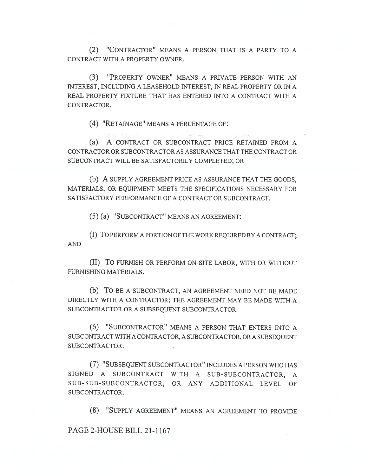(2) "CONTRACTOR" MEANS A PERSON THAT IS A PARTY TO A CONTRACT WITH A PROPERTY OWNER.

(3) "PROPERTY OWNER" MEANS A PRIVATE PERSON WITH AN INTEREST, INCLUDING A LEASEHOLD INTEREST, IN REAL PROPERTY OR IN A REAL PROPERTY FIXTURE THAT HAS ENTERED INTO A CONTRACT WITH A CONTRACTOR.

(4) "RETAINAGE" MEANS A PERCENTAGE OF:

(a) A CONTRACT OR SUBCONTRACT PRICE RETAINED FROM A CONTRACTOR OR SUBCONTRACTOR AS ASSURANCE THAT THE CONTRACT OR SUBCONTRACT WILL BE SATISFACTORILY COMPLETED; OR

(b) A SUPPLY AGREEMENT PRICE AS ASSURANCE THAT THE GOODS, MATERIALS, OR EQUIPMENT MEETS THE SPECIFICATIONS NECESSARY FOR SATISFACTORY PERFORMANCE OF A CONTRACT OR SUBCONTRACT.

(5) (a) "SUBCONTRACT" MEANS AN AGREEMENT:

(I) To PERFORM A PORTION OF THE WORK REQUIRED BY A CONTRACT; AND

(II) To FURNISH OR PERFORM ON-SITE LABOR, WITH OR WITHOUT FURNISHING MATERIALS.

(b) To BE A SUBCONTRACT, AN AGREEMENT NEED NOT BE MADE DIRECTLY WITH A CONTRACTOR; THE AGREEMENT MAY BE MADE WITH A SUBCONTRACTOR OR A SUBSEQUENT SUBCONTRACTOR.

(6) "SUBCONTRACTOR" MEANS A PERSON THAT ENTERS INTO A SUBCONTRACT WITH A CONTRACTOR, A SUBCONTRACTOR, ORA SUBSEQUENT SUBCONTRACTOR.

(7) "SUBSEQUENT SUBCONTRACTOR" INCLUDES A PERSON WHO HAS SIGNED A SUBCONTRACT WITH A SUB-SUBCONTRACTOR, A SUB-SUB-SUBCONTRACTOR, OR ANY ADDITIONAL LEVEL OF SUBCONTRACTOR.

(8) "SUPPLY AGREEMENT" MEANS AN AGREEMENT TO PROVIDE

PAGE 2-HOUSE BILL 21-1167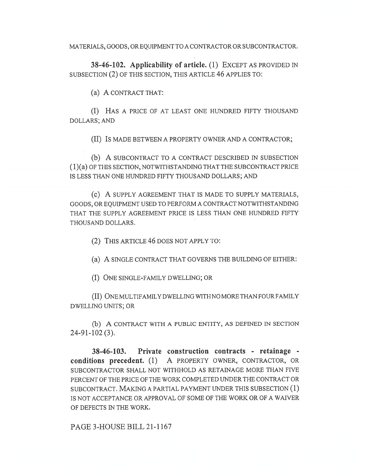MATERIALS, GOODS, OR EQUIPMENT TO A CONTRACTOR OR SUBCONTRACTOR.

38-46-102. Applicability of article. (1) EXCEPT AS PROVIDED IN SUBSECTION (2) OF THIS SECTION, THIS ARTICLE 46 APPLIES TO:

(a) A CONTRACT THAT:

(I) HAS A PRICE OF AT LEAST ONE HUNDRED FIFTY THOUSAND DOLLARS; AND

(II) IS MADE BETWEEN A PROPERTY OWNER AND A CONTRACTOR;

(b) A SUBCONTRACT TO A CONTRACT DESCRIBED IN SUBSECTION (1)(a) OF THIS SECTION, NOTWITHSTANDING THAT THE SUBCONTRACT PRICE IS LESS THAN ONE HUNDRED FIFTY THOUSAND DOLLARS; AND

(c) A SUPPLY AGREEMENT THAT IS MADE TO SUPPLY MATERIALS, GOODS, OR EQUIPMENT USED TO PERFORM A CONTRACT NOTWITHSTANDING THAT THE SUPPLY AGREEMENT PRICE IS LESS THAN ONE HUNDRED FIFTY THOUSAND DOLLARS.

(2) THIS ARTICLE 46 DOES NOT APPLY TO:

(a) A SINGLE CONTRACT THAT GOVERNS THE BUILDING OF EITHER:

(I) ONE SINGLE-FAMILY DWELLING; OR

(II) ONE MULTIFAMILY DWELLING WITH NO MORE THAN FOUR FAMILY DWELLING UNITS; OR

(b) A CONTRACT WITH A PUBLIC ENTITY, AS DEFINED IN SECTION 24-91-102 (3).

38-46-103. Private construction contracts - retainage conditions precedent. (1) A PROPERTY OWNER, CONTRACTOR, OR SUBCONTRACTOR SHALL NOT WITHHOLD AS RETAINAGE MORE THAN FIVE PERCENT OF THE PRICE OF THE WORK COMPLETED UNDER THE CONTRACT OR SUBCONTRACT. MAKING A PARTIAL PAYMENT UNDER THIS SUBSECTION (1) IS NOT ACCEPTANCE OR APPROVAL OF SOME OF THE WORK OR OF A WAIVER OF DEFECTS IN THE WORK.

PAGE 3-HOUSE BILL 21-1167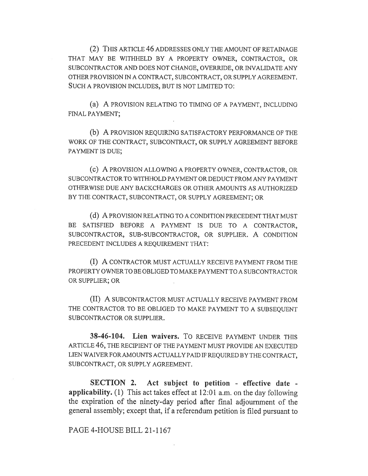(2) THIS ARTICLE 46 ADDRESSES ONLY THE AMOUNT OF RETAINAGE THAT MAY BE WITHHELD BY A PROPERTY OWNER, CONTRACTOR, OR SUBCONTRACTOR AND DOES NOT CHANGE, OVERRIDE, OR INVALIDATE ANY OTHER PROVISION IN A CONTRACT, SUBCONTRACT, OR SUPPLY AGREEMENT. SUCH A PROVISION INCLUDES, BUT IS NOT LIMITED TO:

(a) A PROVISION RELATING TO TIMING OF A PAYMENT, INCLUDING FINAL PAYMENT;

(b) A PROVISION REQUIRING SATISFACTORY PERFORMANCE OF THE WORK OF THE CONTRACT, SUBCONTRACT, OR SUPPLY AGREEMENT BEFORE PAYMENT IS DUE;

(c) A PROVISION ALLOWING A PROPERTY OWNER, CONTRACTOR, OR SUBCONTRACTOR TO WITHHOLD PAYMENT OR DEDUCT FROM ANY PAYMENT OTHERWISE DUE ANY BACKCHARGES OR OTHER AMOUNTS AS AUTHORIZED BY THE CONTRACT, SUBCONTRACT, OR SUPPLY AGREEMENT; OR

(d) A PROVISION RELATING TO A CONDITION PRECEDENT THAT MUST BE SATISFIED BEFORE A PAYMENT IS DUE TO A CONTRACTOR, SUBCONTRACTOR, SUB-SUBCONTRACTOR, OR SUPPLIER. A CONDITION PRECEDENT INCLUDES A REQUIREMENT THAT:

(I) A CONTRACTOR MUST ACTUALLY RECEIVE PAYMENT FROM THE PROPERTY OWNER TO BE OBLIGED TO MAKE PAYMENT TO A SUBCONTRACTOR OR SUPPLIER; OR

(II) A SUBCONTRACTOR MUST ACTUALLY RECEIVE PAYMENT FROM THE CONTRACTOR TO BE OBLIGED TO MAKE PAYMENT TO A SUBSEQUENT SUBCONTRACTOR OR SUPPLIER.

38-46-104. Lien waivers. To RECEIVE PAYMENT UNDER THIS ARTICLE 46, THE RECIPIENT OF THE PAYMENT MUST PROVIDE AN EXECUTED LIEN WAIVER FOR AMOUNTS ACTUALLY PAID IF REQUIRED BY THE CONTRACT, SUBCONTRACT, OR SUPPLY AGREEMENT.

SECTION 2. Act subject to petition - effective date applicability. (1) This act takes effect at 12:01 a.m. on the day following the expiration of the ninety-day period after final adjournment of the general assembly; except that, if a referendum petition is filed pursuant to

## PAGE 4-HOUSE BILL 21-1167